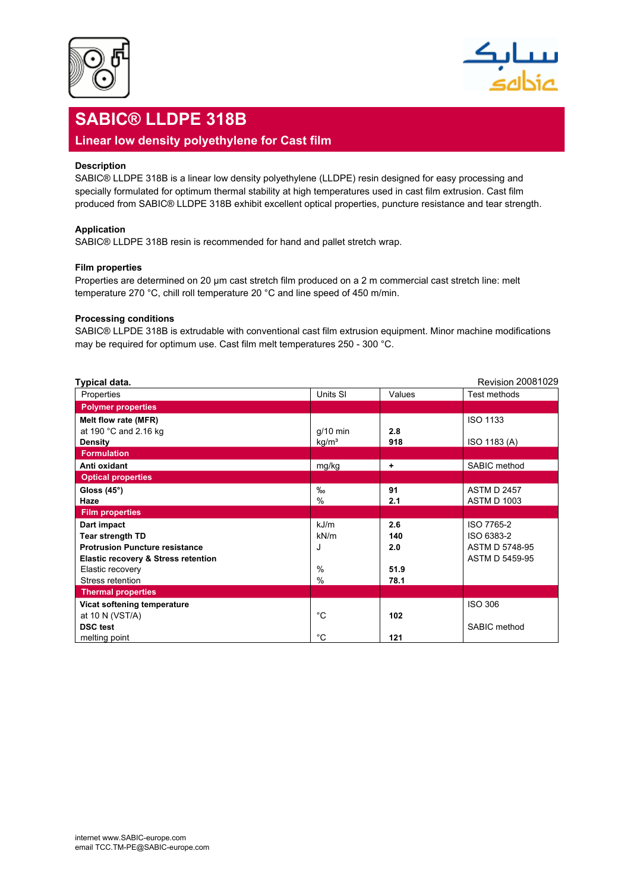



# **SABIC® LLDPE 318B**

### **Linear low density polyethylene for Cast film**

#### **Description**

SABIC® LLDPE 318B is a linear low density polyethylene (LLDPE) resin designed for easy processing and specially formulated for optimum thermal stability at high temperatures used in cast film extrusion. Cast film produced from SABIC® LLDPE 318B exhibit excellent optical properties, puncture resistance and tear strength.

#### **Application**

SABIC® LLDPE 318B resin is recommended for hand and pallet stretch wrap.

#### **Film properties**

Properties are determined on 20 µm cast stretch film produced on a 2 m commercial cast stretch line: melt temperature 270 °C, chill roll temperature 20 °C and line speed of 450 m/min.

#### **Processing conditions**

SABIC® LLPDE 318B is extrudable with conventional cast film extrusion equipment. Minor machine modifications may be required for optimum use. Cast film melt temperatures 250 - 300 °C.

| Typical data.                                  |                   |        | <b>Revision 20081029</b> |
|------------------------------------------------|-------------------|--------|--------------------------|
| Properties                                     | Units SI          | Values | Test methods             |
| <b>Polymer properties</b>                      |                   |        |                          |
| Melt flow rate (MFR)                           |                   |        | <b>ISO 1133</b>          |
| at 190 °C and 2.16 kg                          | $g/10$ min        | 2.8    |                          |
| <b>Density</b>                                 | kg/m <sup>3</sup> | 918    | ISO 1183 (A)             |
| <b>Formulation</b>                             |                   |        |                          |
| Anti oxidant                                   | mg/kg             | ٠      | SABIC method             |
| <b>Optical properties</b>                      |                   |        |                          |
| Gloss $(45^\circ)$                             | $\%$              | 91     | <b>ASTM D 2457</b>       |
| Haze                                           | $\%$              | 2.1    | <b>ASTM D 1003</b>       |
| <b>Film properties</b>                         |                   |        |                          |
| Dart impact                                    | kJ/m              | 2.6    | ISO 7765-2               |
| <b>Tear strength TD</b>                        | kN/m              | 140    | ISO 6383-2               |
| <b>Protrusion Puncture resistance</b>          | J                 | 2.0    | ASTM D 5748-95           |
| <b>Elastic recovery &amp; Stress retention</b> |                   |        | ASTM D 5459-95           |
| Elastic recovery                               | $\%$              | 51.9   |                          |
| Stress retention                               | $\%$              | 78.1   |                          |
| <b>Thermal properties</b>                      |                   |        |                          |
| Vicat softening temperature                    |                   |        | <b>ISO 306</b>           |
| at 10 N (VST/A)                                | °C                | 102    |                          |
| <b>DSC</b> test                                |                   |        | SABIC method             |
| melting point                                  | °C                | 121    |                          |